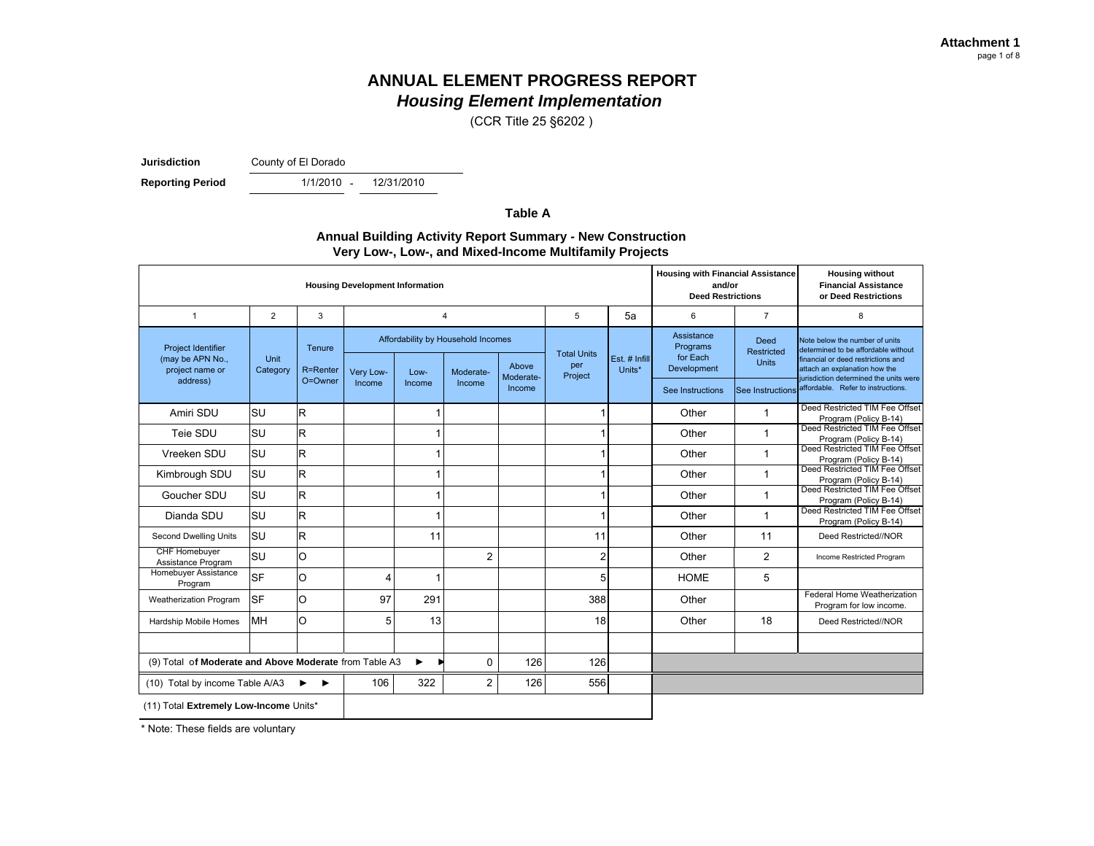(CCR Title 25 §6202 )

**Jurisdiction**

County of El Dorado

**Reporting Period** 

- 12/31/2010

**Table A**

#### **Annual Building Activity Report Summary - New Construction Very Low-, Low-, and Mixed-Income Multifamily Projects**

| <b>Housing Development Information</b>                 |                  |                 |           |                                    |                |                    |                    | <b>Housing with Financial Assistance</b><br>and/or<br><b>Deed Restrictions</b> |                         | <b>Housing without</b><br><b>Financial Assistance</b><br>or Deed Restrictions |                                                                                           |
|--------------------------------------------------------|------------------|-----------------|-----------|------------------------------------|----------------|--------------------|--------------------|--------------------------------------------------------------------------------|-------------------------|-------------------------------------------------------------------------------|-------------------------------------------------------------------------------------------|
| 1                                                      | $\overline{2}$   | 3               |           | $\overline{4}$                     |                |                    | 5                  | 5a                                                                             | 6                       | $\overline{7}$                                                                | 8                                                                                         |
| Project Identifier                                     |                  | Tenure          |           | Affordability by Household Incomes |                |                    | <b>Total Units</b> | Assistance<br>Programs                                                         | Deed<br>Restricted      | Note below the number of units<br>determined to be affordable without         |                                                                                           |
| (may be APN No.,<br>project name or                    | Unit<br>Category | <b>R=Renter</b> | Very Low- | Low-                               | Moderate-      | Above<br>Moderate- | per<br>Project     | Est. # Infill<br>Units*                                                        | for Each<br>Development | <b>Units</b>                                                                  | financial or deed restrictions and<br>attach an explanation how the                       |
| address)                                               |                  | O=Owner         | Income    | Income                             | Income         | Income             |                    |                                                                                | See Instructions        | <b>See Instructions</b>                                                       | jurisdiction determined the units were<br>affordable. Refer to instructions.              |
| Amiri SDU                                              | <b>SU</b>        | $\mathsf{R}$    |           | 1                                  |                |                    |                    |                                                                                | Other                   | 1                                                                             | Deed Restricted TIM Fee Offset<br>Program (Policy B-14)                                   |
| Teie SDU                                               | lsu              | $\mathsf{R}$    |           | 1                                  |                |                    |                    |                                                                                | Other                   | $\mathbf{1}$                                                                  | Deed Restricted TIM Fee Offset<br>Program (Policy B-14)                                   |
| Vreeken SDU                                            | <b>SU</b>        | $\mathsf{R}$    |           | 1                                  |                |                    |                    |                                                                                | Other                   | $\mathbf 1$                                                                   | Deed Restricted TIM Fee Offset<br>Program (Policy B-14)                                   |
| Kimbrough SDU                                          | lsu              | $\mathsf{R}$    |           | 1                                  |                |                    |                    |                                                                                | Other                   | $\mathbf{1}$                                                                  | Deed Restricted TIM Fee Offset<br>Program (Policy B-14)                                   |
| Goucher SDU                                            | <b>SU</b>        | $\mathsf{R}$    |           | 1                                  |                |                    | 1                  |                                                                                | Other                   | $\mathbf{1}$                                                                  | Deed Restricted TIM Fee Offset<br>Program (Policy B-14)<br>Deed Restricted TIM Fee Offset |
| Dianda SDU                                             | lsu              | $\mathsf{R}$    |           | 1                                  |                |                    |                    |                                                                                | Other                   | $\mathbf{1}$                                                                  | Program (Policy B-14)                                                                     |
| Second Dwelling Units                                  | lsu              | $\mathsf{R}$    |           | 11                                 |                |                    | 11                 |                                                                                | Other                   | 11                                                                            | Deed Restricted//NOR                                                                      |
| <b>CHF Homebuyer</b><br>Assistance Program             | SU               | O               |           |                                    | $\overline{2}$ |                    | $\overline{2}$     |                                                                                | Other                   | $\overline{2}$                                                                | Income Restricted Program                                                                 |
| Homebuyer Assistance<br>Program                        | <b>SF</b>        | O               | 4         | 1                                  |                |                    | 5                  |                                                                                | <b>HOME</b>             | 5                                                                             |                                                                                           |
| Weatherization Program                                 | <b>SF</b>        | O               | 97        | 291                                |                |                    | 388                |                                                                                | Other                   |                                                                               | Federal Home Weatherization<br>Program for low income.                                    |
| Hardship Mobile Homes                                  | MH               | O               | 5         | 13                                 |                |                    | 18                 |                                                                                | Other                   | 18                                                                            | Deed Restricted//NOR                                                                      |
|                                                        |                  |                 |           |                                    |                |                    |                    |                                                                                |                         |                                                                               |                                                                                           |
| (9) Total of Moderate and Above Moderate from Table A3 |                  |                 |           | 0                                  | 126            | 126                |                    |                                                                                |                         |                                                                               |                                                                                           |
| (10) Total by income Table A/A3                        | ▸                | 106             | 322       | $\overline{2}$                     | 126            | 556                |                    |                                                                                |                         |                                                                               |                                                                                           |
| (11) Total Extremely Low-Income Units*                 |                  |                 |           |                                    |                |                    |                    |                                                                                |                         |                                                                               |                                                                                           |

\* Note: These fields are voluntary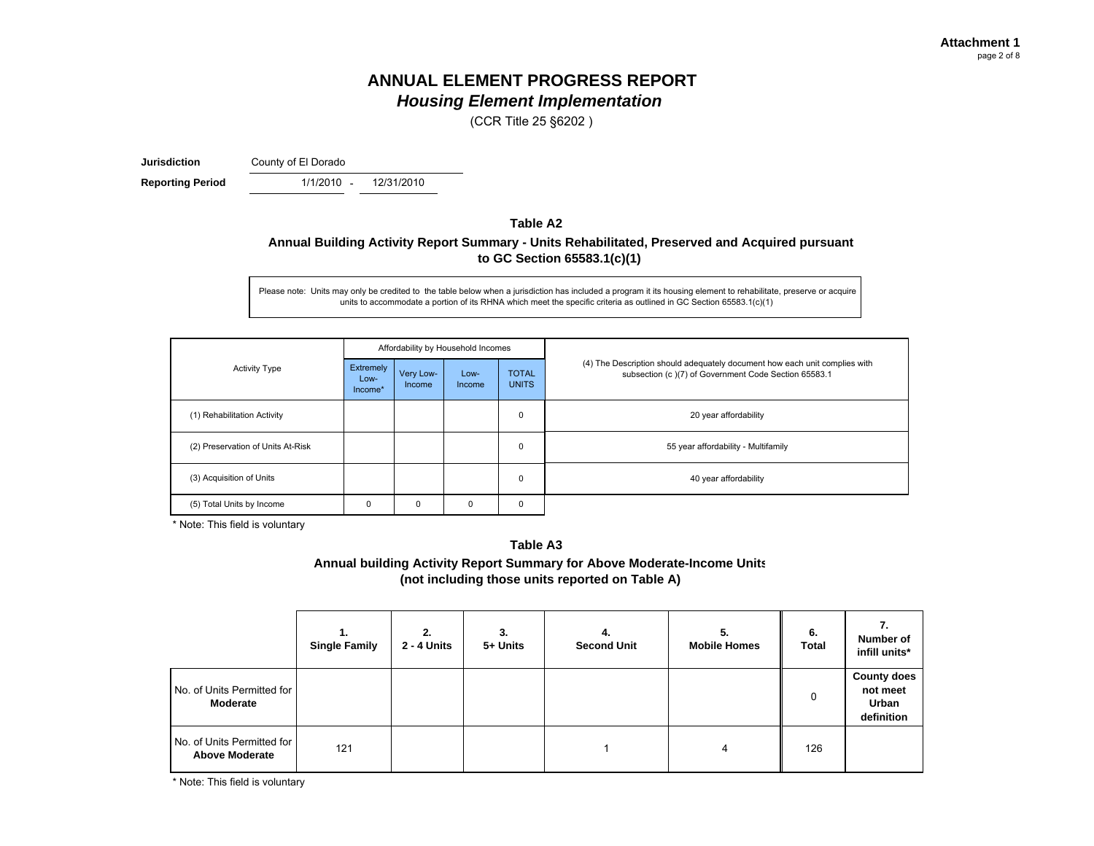(CCR Title 25 §6202 )

**Jurisdiction**

County of El Dorado

**Reporting Period** 1/1/2010 -

12/31/2010

#### **Table A2Annual Building Activity Report Summary - Units Rehabilitated, Preserved and Acquired pursuant to GC Section 65583.1(c)(1)**

Please note: Units may only be credited to the table below when a jurisdiction has included a program it its housing element to rehabilitate, preserve or acquire units to accommodate a portion of its RHNA which meet the specific criteria as outlined in GC Section 65583.1(c)(1)

|                                   |                                                     |   | Affordability by Household Incomes |                              |                                                                                                                                    |  |  |  |
|-----------------------------------|-----------------------------------------------------|---|------------------------------------|------------------------------|------------------------------------------------------------------------------------------------------------------------------------|--|--|--|
| <b>Activity Type</b>              | Extremely<br>Very Low-<br>Low-<br>Income<br>Income* |   | Low-<br>Income                     | <b>TOTAL</b><br><b>UNITS</b> | (4) The Description should adequately document how each unit complies with<br>subsection (c)(7) of Government Code Section 65583.1 |  |  |  |
| (1) Rehabilitation Activity       |                                                     |   |                                    | $\mathbf 0$                  | 20 year affordability                                                                                                              |  |  |  |
| (2) Preservation of Units At-Risk |                                                     |   |                                    | $\mathbf 0$                  | 55 year affordability - Multifamily                                                                                                |  |  |  |
| (3) Acquisition of Units          |                                                     |   |                                    | $\mathbf 0$                  | 40 year affordability                                                                                                              |  |  |  |
| (5) Total Units by Income         | $\Omega$                                            | 0 | 0                                  | $\mathbf 0$                  |                                                                                                                                    |  |  |  |

\* Note: This field is voluntary

#### **Table A3**

**Annual building Activity Report Summary for Above Moderate-Income Units (not including those units reported on Table A)**

|                                                     | <b>Single Family</b> | 2.<br>2 - 4 Units | 3.<br>5+ Units | 4.<br><b>Second Unit</b> | 5.<br><b>Mobile Homes</b> | 6.<br><b>Total</b> | Number of<br>infill units*                            |
|-----------------------------------------------------|----------------------|-------------------|----------------|--------------------------|---------------------------|--------------------|-------------------------------------------------------|
| No. of Units Permitted for<br><b>Moderate</b>       |                      |                   |                |                          |                           | 0                  | <b>County does</b><br>not meet<br>Urban<br>definition |
| No. of Units Permitted for<br><b>Above Moderate</b> | 121                  |                   |                |                          | 4                         | 126                |                                                       |

\* Note: This field is voluntary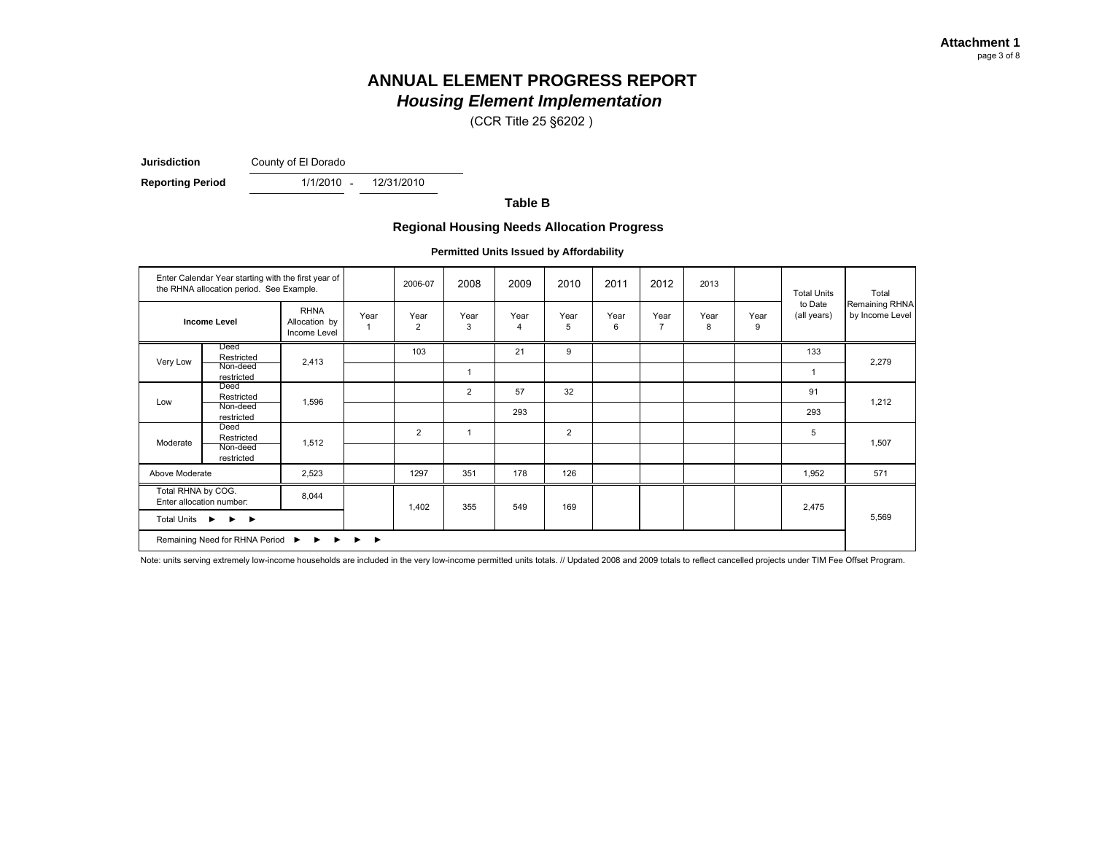(CCR Title 25 §6202 )

**Jurisdiction**County of El Dorado

**Reporting Period** 1/1/2010 -

12/31/2010

**Table B**

#### **Regional Housing Needs Allocation Progress**

**Permitted Units Issued by Affordability**

| Enter Calendar Year starting with the first year of<br>the RHNA allocation period. See Example.<br><b>RHNA</b><br><b>Income Level</b><br>Allocation by<br>Income Level |                        |       | 2006-07                                | 2008                   | 2009           | 2010                   | 2011           | 2012      | 2013                   |           | <b>Total Units</b> | Total                  |                                   |
|------------------------------------------------------------------------------------------------------------------------------------------------------------------------|------------------------|-------|----------------------------------------|------------------------|----------------|------------------------|----------------|-----------|------------------------|-----------|--------------------|------------------------|-----------------------------------|
|                                                                                                                                                                        |                        |       | Year<br>-1                             | Year<br>$\overline{2}$ | Year<br>3      | Year<br>$\overline{4}$ | Year<br>5      | Year<br>6 | Year<br>$\overline{7}$ | Year<br>8 | Year<br>9          | to Date<br>(all years) | Remaining RHNA<br>by Income Level |
|                                                                                                                                                                        | Deed<br>Restricted     |       |                                        | 103                    |                | 21                     | 9              |           |                        |           |                    | 133                    | 2,279                             |
| Very Low                                                                                                                                                               | Non-deed<br>restricted | 2,413 |                                        |                        | 1              |                        |                |           |                        |           |                    |                        |                                   |
| Low                                                                                                                                                                    | Deed<br>Restricted     | 1,596 |                                        |                        | $\overline{2}$ | 57                     | 32             |           |                        |           |                    | 91                     | 1,212                             |
|                                                                                                                                                                        | Non-deed<br>restricted |       |                                        |                        |                | 293                    |                |           |                        |           |                    | 293                    |                                   |
|                                                                                                                                                                        | Deed<br>Restricted     | 1,512 |                                        | 2                      | 1              |                        | $\overline{2}$ |           |                        |           |                    | 5                      |                                   |
| Moderate                                                                                                                                                               | Non-deed<br>restricted |       |                                        |                        |                |                        |                |           |                        |           |                    |                        | 1,507                             |
| Above Moderate                                                                                                                                                         |                        | 2,523 |                                        | 1297                   | 351            | 178                    | 126            |           |                        |           |                    | 1,952                  | 571                               |
| Total RHNA by COG.<br>Enter allocation number:<br>Total Units ▶<br>$\blacktriangleright$ $\blacktriangleright$                                                         |                        | 8,044 |                                        | 1,402                  | 355            | 549                    | 169            |           |                        |           |                    | 2,475                  |                                   |
|                                                                                                                                                                        |                        |       |                                        |                        |                |                        |                |           |                        |           |                    |                        | 5,569                             |
| Remaining Need for RHNA Period<br>$\blacktriangleright$<br>▸<br>▸                                                                                                      |                        |       | $\blacktriangleright$<br>$\rightarrow$ |                        |                |                        |                |           |                        |           |                    |                        |                                   |

Note: units serving extremely low-income households are included in the very low-income permitted units totals. // Updated 2008 and 2009 totals to reflect cancelled projects under TIM Fee Offset Program.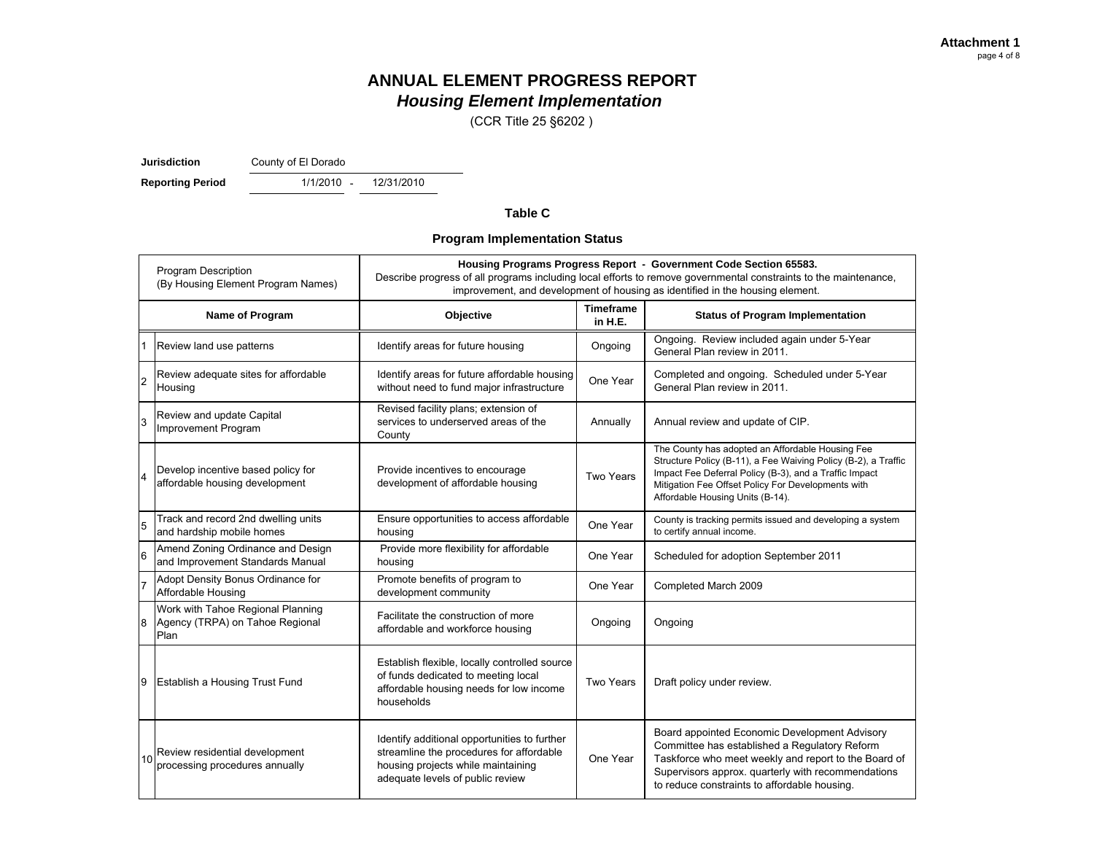(CCR Title 25 §6202 )

**Jurisdiction**

County of El Dorado

**Reporting Period** 1/1/2010 -

12/31/2010

#### **Table C**

#### **Program Implementation Status**

| <b>Program Description</b><br>(By Housing Element Program Names) |                                                                              | Housing Programs Progress Report - Government Code Section 65583.<br>Describe progress of all programs including local efforts to remove governmental constraints to the maintenance,<br>improvement, and development of housing as identified in the housing element. |                             |                                                                                                                                                                                                                                                                        |  |  |  |
|------------------------------------------------------------------|------------------------------------------------------------------------------|------------------------------------------------------------------------------------------------------------------------------------------------------------------------------------------------------------------------------------------------------------------------|-----------------------------|------------------------------------------------------------------------------------------------------------------------------------------------------------------------------------------------------------------------------------------------------------------------|--|--|--|
|                                                                  | Name of Program                                                              | Objective                                                                                                                                                                                                                                                              | <b>Timeframe</b><br>in H.E. | <b>Status of Program Implementation</b>                                                                                                                                                                                                                                |  |  |  |
|                                                                  | Review land use patterns                                                     | Identify areas for future housing                                                                                                                                                                                                                                      | Ongoing                     | Ongoing. Review included again under 5-Year<br>General Plan review in 2011.                                                                                                                                                                                            |  |  |  |
| $\overline{2}$                                                   | Review adequate sites for affordable<br>Housing                              | Identify areas for future affordable housing<br>without need to fund major infrastructure                                                                                                                                                                              | One Year                    | Completed and ongoing. Scheduled under 5-Year<br>General Plan review in 2011.                                                                                                                                                                                          |  |  |  |
| 3                                                                | Review and update Capital<br>Improvement Program                             | Revised facility plans; extension of<br>services to underserved areas of the<br>County                                                                                                                                                                                 | Annually                    | Annual review and update of CIP.                                                                                                                                                                                                                                       |  |  |  |
|                                                                  | Develop incentive based policy for<br>affordable housing development         | Provide incentives to encourage<br>development of affordable housing                                                                                                                                                                                                   | Two Years                   | The County has adopted an Affordable Housing Fee<br>Structure Policy (B-11), a Fee Waiving Policy (B-2), a Traffic<br>Impact Fee Deferral Policy (B-3), and a Traffic Impact<br>Mitigation Fee Offset Policy For Developments with<br>Affordable Housing Units (B-14). |  |  |  |
| 5                                                                | Track and record 2nd dwelling units<br>and hardship mobile homes             | Ensure opportunities to access affordable<br>housing                                                                                                                                                                                                                   | One Year                    | County is tracking permits issued and developing a system<br>to certify annual income.                                                                                                                                                                                 |  |  |  |
| 16                                                               | Amend Zoning Ordinance and Design<br>and Improvement Standards Manual        | Provide more flexibility for affordable<br>housing                                                                                                                                                                                                                     | One Year                    | Scheduled for adoption September 2011                                                                                                                                                                                                                                  |  |  |  |
|                                                                  | Adopt Density Bonus Ordinance for<br>Affordable Housing                      | Promote benefits of program to<br>development community                                                                                                                                                                                                                | One Year                    | Completed March 2009                                                                                                                                                                                                                                                   |  |  |  |
| 8                                                                | Work with Tahoe Regional Planning<br>Agency (TRPA) on Tahoe Regional<br>Plan | Facilitate the construction of more<br>affordable and workforce housing                                                                                                                                                                                                | Ongoing                     | Ongoing                                                                                                                                                                                                                                                                |  |  |  |
| 9                                                                | <b>Establish a Housing Trust Fund</b>                                        | Establish flexible, locally controlled source<br>of funds dedicated to meeting local<br>affordable housing needs for low income<br>households                                                                                                                          | Two Years                   | Draft policy under review.                                                                                                                                                                                                                                             |  |  |  |
| 10                                                               | Review residential development<br>processing procedures annually             | Identify additional opportunities to further<br>streamline the procedures for affordable<br>housing projects while maintaining<br>adequate levels of public review                                                                                                     | One Year                    | Board appointed Economic Development Advisory<br>Committee has established a Regulatory Reform<br>Taskforce who meet weekly and report to the Board of<br>Supervisors approx. quarterly with recommendations<br>to reduce constraints to affordable housing.           |  |  |  |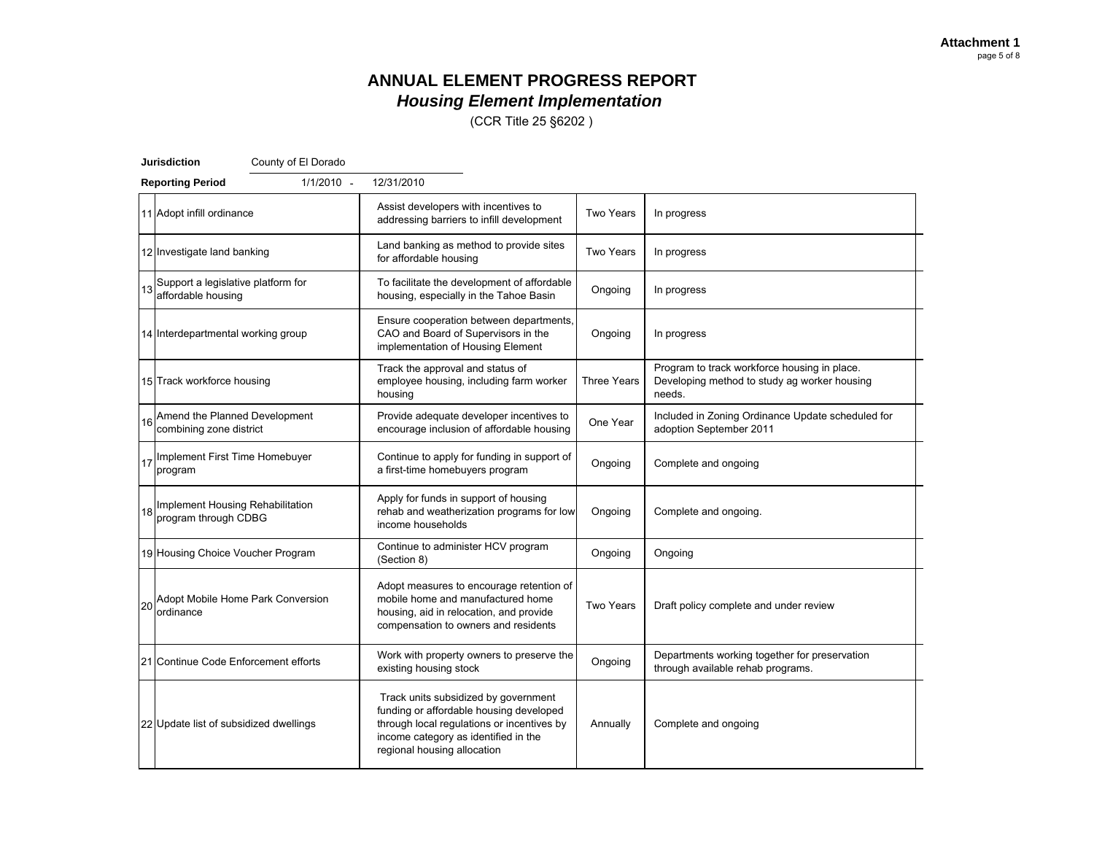(CCR Title 25 §6202 )

|    | <b>Jurisdiction</b>                                      | County of El Dorado |                                                                                                                                                                                                      |                    |                                                                                                        |  |
|----|----------------------------------------------------------|---------------------|------------------------------------------------------------------------------------------------------------------------------------------------------------------------------------------------------|--------------------|--------------------------------------------------------------------------------------------------------|--|
|    | <b>Reporting Period</b>                                  | 1/1/2010 -          | 12/31/2010                                                                                                                                                                                           |                    |                                                                                                        |  |
|    | 11 Adopt infill ordinance                                |                     | Assist developers with incentives to<br>addressing barriers to infill development                                                                                                                    | Two Years          | In progress                                                                                            |  |
|    | 12 Investigate land banking                              |                     | Land banking as method to provide sites<br>for affordable housing                                                                                                                                    | <b>Two Years</b>   | In progress                                                                                            |  |
| 13 | Support a legislative platform for<br>affordable housing |                     | To facilitate the development of affordable<br>housing, especially in the Tahoe Basin                                                                                                                | Ongoing            | In progress                                                                                            |  |
|    | 14 Interdepartmental working group                       |                     | Ensure cooperation between departments,<br>CAO and Board of Supervisors in the<br>implementation of Housing Element                                                                                  | Ongoing            | In progress                                                                                            |  |
|    | 15 Track workforce housing                               |                     | Track the approval and status of<br>employee housing, including farm worker<br>housing                                                                                                               | <b>Three Years</b> | Program to track workforce housing in place.<br>Developing method to study ag worker housing<br>needs. |  |
| 16 | Amend the Planned Development<br>combining zone district |                     | Provide adequate developer incentives to<br>encourage inclusion of affordable housing                                                                                                                | One Year           | Included in Zoning Ordinance Update scheduled for<br>adoption September 2011                           |  |
|    | 17 Implement First Time Homebuyer<br>program             |                     | Continue to apply for funding in support of<br>a first-time homebuyers program                                                                                                                       | Ongoing            | Complete and ongoing                                                                                   |  |
| 18 | Implement Housing Rehabilitation<br>program through CDBG |                     | Apply for funds in support of housing<br>rehab and weatherization programs for low<br>income households                                                                                              | Ongoing            | Complete and ongoing.                                                                                  |  |
|    | 19 Housing Choice Voucher Program                        |                     | Continue to administer HCV program<br>(Section 8)                                                                                                                                                    | Ongoing            | Ongoing                                                                                                |  |
| 20 | Adopt Mobile Home Park Conversion<br>ordinance           |                     | Adopt measures to encourage retention of<br>mobile home and manufactured home<br>housing, aid in relocation, and provide<br>compensation to owners and residents                                     | <b>Two Years</b>   | Draft policy complete and under review                                                                 |  |
|    | 21 Continue Code Enforcement efforts                     |                     | Work with property owners to preserve the<br>existing housing stock                                                                                                                                  | Ongoing            | Departments working together for preservation<br>through available rehab programs.                     |  |
|    | 22 Update list of subsidized dwellings                   |                     | Track units subsidized by government<br>funding or affordable housing developed<br>through local regulations or incentives by<br>income category as identified in the<br>regional housing allocation | Annually           | Complete and ongoing                                                                                   |  |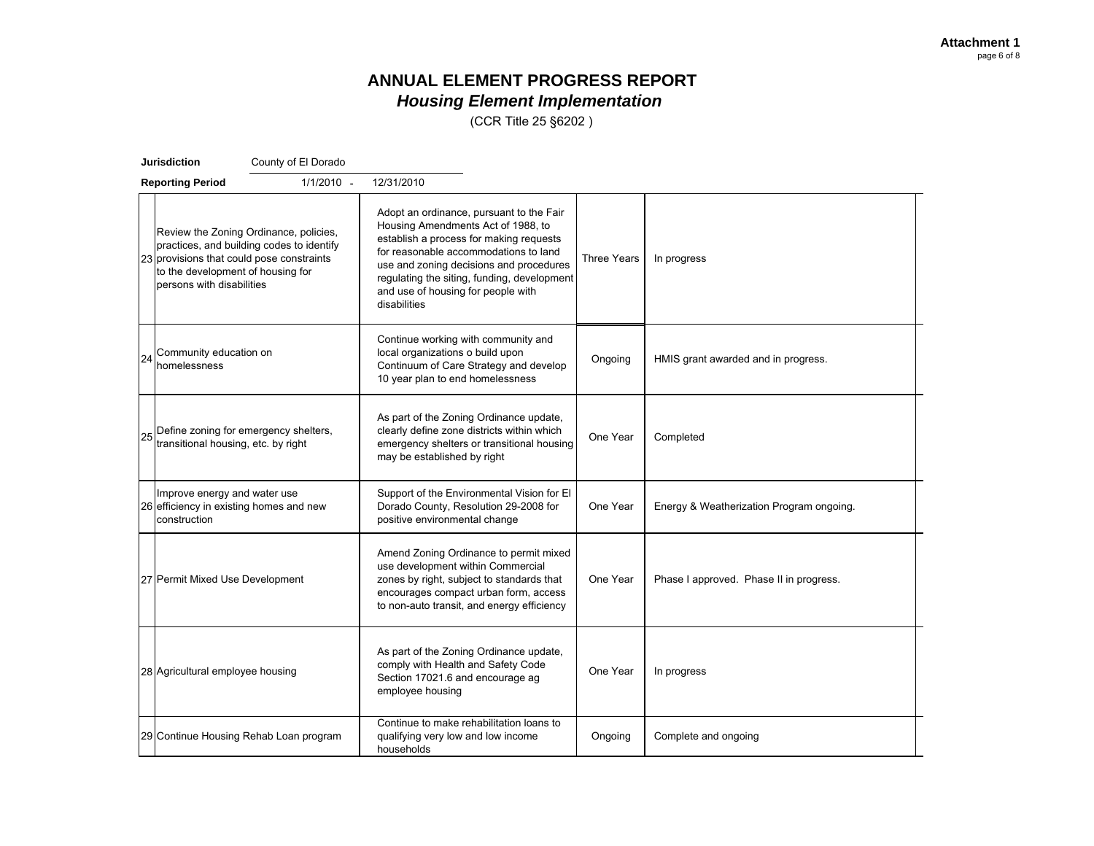(CCR Title 25 §6202 )

|    | Jurisdiction                                                                                                | County of El Dorado                                                                 |                                                                                                                                                                                                                                                                                                                    |             |                                          |  |
|----|-------------------------------------------------------------------------------------------------------------|-------------------------------------------------------------------------------------|--------------------------------------------------------------------------------------------------------------------------------------------------------------------------------------------------------------------------------------------------------------------------------------------------------------------|-------------|------------------------------------------|--|
|    | <b>Reporting Period</b>                                                                                     | $1/1/2010 -$                                                                        | 12/31/2010                                                                                                                                                                                                                                                                                                         |             |                                          |  |
|    | 23 provisions that could pose constraints<br>to the development of housing for<br>persons with disabilities | Review the Zoning Ordinance, policies,<br>practices, and building codes to identify | Adopt an ordinance, pursuant to the Fair<br>Housing Amendments Act of 1988, to<br>establish a process for making requests<br>for reasonable accommodations to land<br>use and zoning decisions and procedures<br>regulating the siting, funding, development<br>and use of housing for people with<br>disabilities | Three Years | In progress                              |  |
| 24 | Community education on<br>homelessness                                                                      |                                                                                     | Continue working with community and<br>local organizations o build upon<br>Continuum of Care Strategy and develop<br>10 year plan to end homelessness                                                                                                                                                              | Ongoing     | HMIS grant awarded and in progress.      |  |
| 25 | Define zoning for emergency shelters,<br>transitional housing, etc. by right                                |                                                                                     | As part of the Zoning Ordinance update,<br>clearly define zone districts within which<br>emergency shelters or transitional housing<br>may be established by right                                                                                                                                                 | One Year    | Completed                                |  |
|    | Improve energy and water use<br>26 efficiency in existing homes and new<br>construction                     |                                                                                     | Support of the Environmental Vision for El<br>Dorado County, Resolution 29-2008 for<br>positive environmental change                                                                                                                                                                                               | One Year    | Energy & Weatherization Program ongoing. |  |
|    | 27 Permit Mixed Use Development                                                                             |                                                                                     | Amend Zoning Ordinance to permit mixed<br>use development within Commercial<br>zones by right, subject to standards that<br>encourages compact urban form, access<br>to non-auto transit, and energy efficiency                                                                                                    | One Year    | Phase I approved. Phase II in progress.  |  |
|    | 28 Agricultural employee housing                                                                            |                                                                                     | As part of the Zoning Ordinance update,<br>comply with Health and Safety Code<br>Section 17021.6 and encourage ag<br>employee housing                                                                                                                                                                              | One Year    | In progress                              |  |
|    |                                                                                                             | 29 Continue Housing Rehab Loan program                                              | Continue to make rehabilitation loans to<br>qualifying very low and low income<br>households                                                                                                                                                                                                                       | Ongoing     | Complete and ongoing                     |  |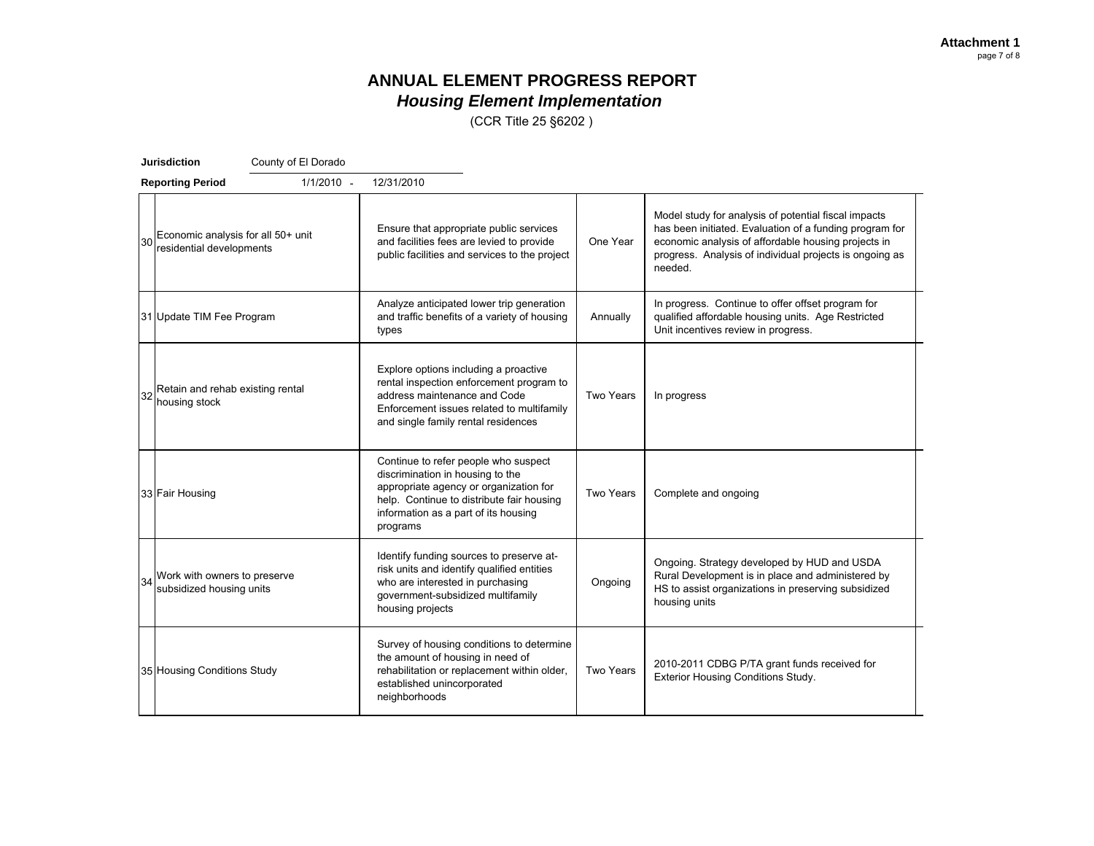(CCR Title 25 §6202 )

|    | <b>Jurisdiction</b><br>County of El Dorado                     |                                                                                                                                                                                                                     |                  |                                                                                                                                                                                                                                              |
|----|----------------------------------------------------------------|---------------------------------------------------------------------------------------------------------------------------------------------------------------------------------------------------------------------|------------------|----------------------------------------------------------------------------------------------------------------------------------------------------------------------------------------------------------------------------------------------|
|    | 1/1/2010 -<br><b>Reporting Period</b>                          | 12/31/2010                                                                                                                                                                                                          |                  |                                                                                                                                                                                                                                              |
| 30 | Economic analysis for all 50+ unit<br>residential developments | Ensure that appropriate public services<br>and facilities fees are levied to provide<br>public facilities and services to the project                                                                               | One Year         | Model study for analysis of potential fiscal impacts<br>has been initiated. Evaluation of a funding program for<br>economic analysis of affordable housing projects in<br>progress. Analysis of individual projects is ongoing as<br>needed. |
|    | 31 Update TIM Fee Program                                      | Analyze anticipated lower trip generation<br>and traffic benefits of a variety of housing<br>types                                                                                                                  | Annually         | In progress. Continue to offer offset program for<br>qualified affordable housing units. Age Restricted<br>Unit incentives review in progress.                                                                                               |
| 32 | Retain and rehab existing rental<br>housing stock              | Explore options including a proactive<br>rental inspection enforcement program to<br>address maintenance and Code<br>Enforcement issues related to multifamily<br>and single family rental residences               | <b>Two Years</b> | In progress                                                                                                                                                                                                                                  |
|    | 33 Fair Housing                                                | Continue to refer people who suspect<br>discrimination in housing to the<br>appropriate agency or organization for<br>help. Continue to distribute fair housing<br>information as a part of its housing<br>programs | <b>Two Years</b> | Complete and ongoing                                                                                                                                                                                                                         |
| 34 | Work with owners to preserve<br>subsidized housing units       | Identify funding sources to preserve at-<br>risk units and identify qualified entities<br>who are interested in purchasing<br>government-subsidized multifamily<br>housing projects                                 | Ongoing          | Ongoing. Strategy developed by HUD and USDA<br>Rural Development is in place and administered by<br>HS to assist organizations in preserving subsidized<br>housing units                                                                     |
|    | 35 Housing Conditions Study                                    | Survey of housing conditions to determine<br>the amount of housing in need of<br>rehabilitation or replacement within older,<br>established unincorporated<br>neighborhoods                                         | Two Years        | 2010-2011 CDBG P/TA grant funds received for<br>Exterior Housing Conditions Study.                                                                                                                                                           |